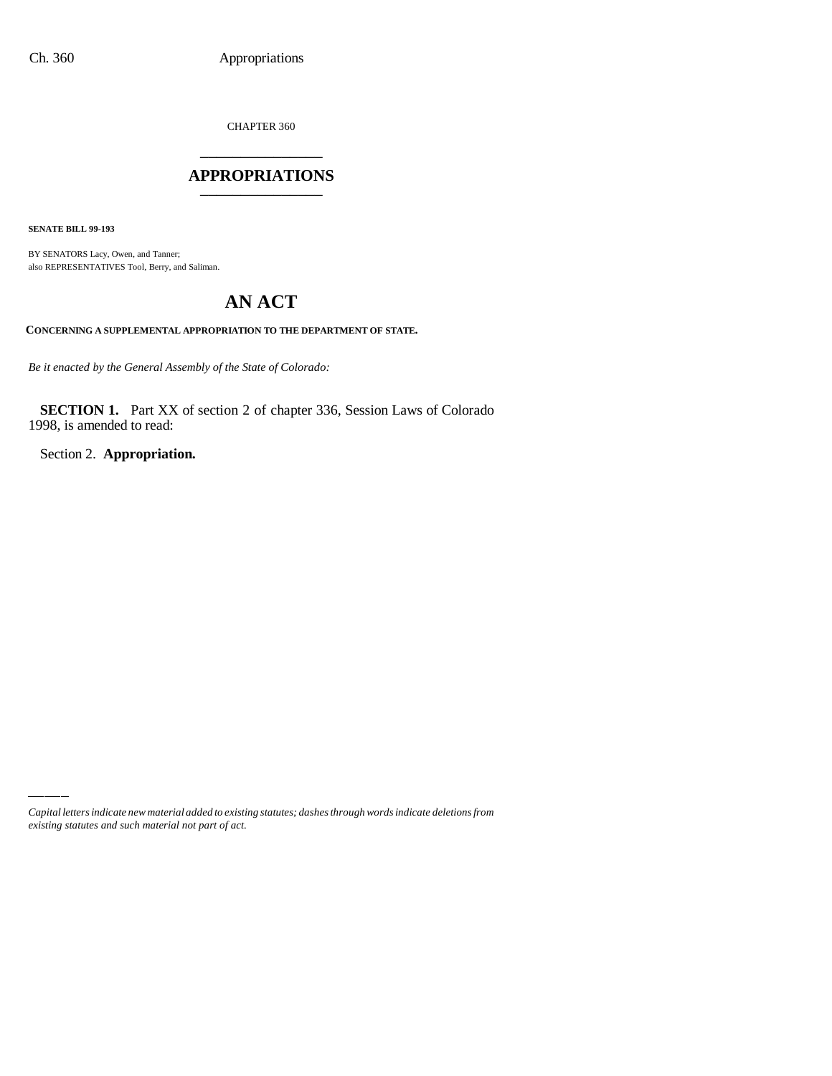CHAPTER 360 \_\_\_\_\_\_\_\_\_\_\_\_\_\_\_

#### **APPROPRIATIONS** \_\_\_\_\_\_\_\_\_\_\_\_\_\_\_

**SENATE BILL 99-193**

BY SENATORS Lacy, Owen, and Tanner; also REPRESENTATIVES Tool, Berry, and Saliman.

# **AN ACT**

**CONCERNING A SUPPLEMENTAL APPROPRIATION TO THE DEPARTMENT OF STATE.**

*Be it enacted by the General Assembly of the State of Colorado:*

**SECTION 1.** Part XX of section 2 of chapter 336, Session Laws of Colorado 1998, is amended to read:

Section 2. **Appropriation.**

*Capital letters indicate new material added to existing statutes; dashes through words indicate deletions from existing statutes and such material not part of act.*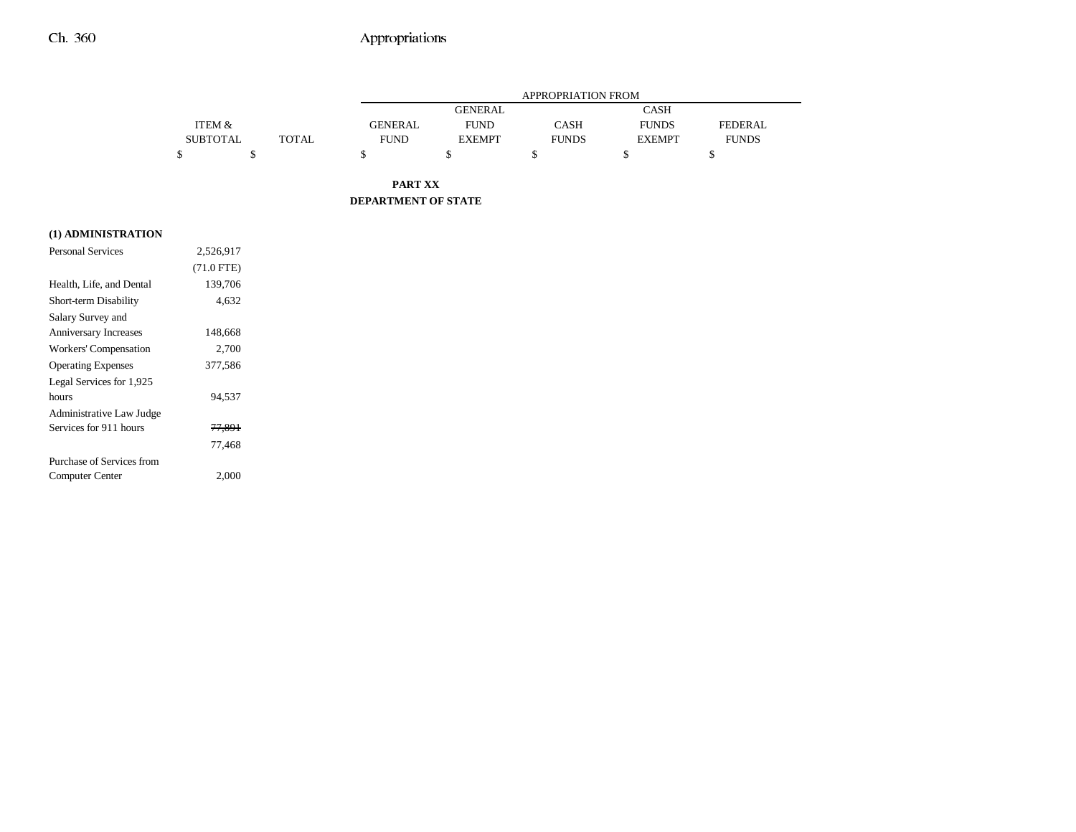## Ch. 360 Appropriations

|                 |              | APPROPRIATION FROM |                |              |               |                |
|-----------------|--------------|--------------------|----------------|--------------|---------------|----------------|
|                 |              |                    | <b>GENERAL</b> |              | <b>CASH</b>   |                |
| ITEM &          |              | <b>GENERAL</b>     | <b>FUND</b>    | CASH         | <b>FUNDS</b>  | <b>FEDERAL</b> |
| <b>SUBTOTAL</b> | <b>TOTAL</b> | <b>FUND</b>        | <b>EXEMPT</b>  | <b>FUNDS</b> | <b>EXEMPT</b> | <b>FUNDS</b>   |
|                 |              |                    |                |              |               |                |

**PART XX DEPARTMENT OF STATE**

#### **(1) ADMINISTRATION**

| 2.526.917         |  |
|-------------------|--|
| $(71.0$ FTE)      |  |
| 139,706           |  |
| 4.632             |  |
|                   |  |
| 148,668           |  |
| 2,700             |  |
| 377,586           |  |
|                   |  |
| 94.537            |  |
|                   |  |
| <del>77.891</del> |  |
| 77,468            |  |
|                   |  |
| 2,000             |  |
|                   |  |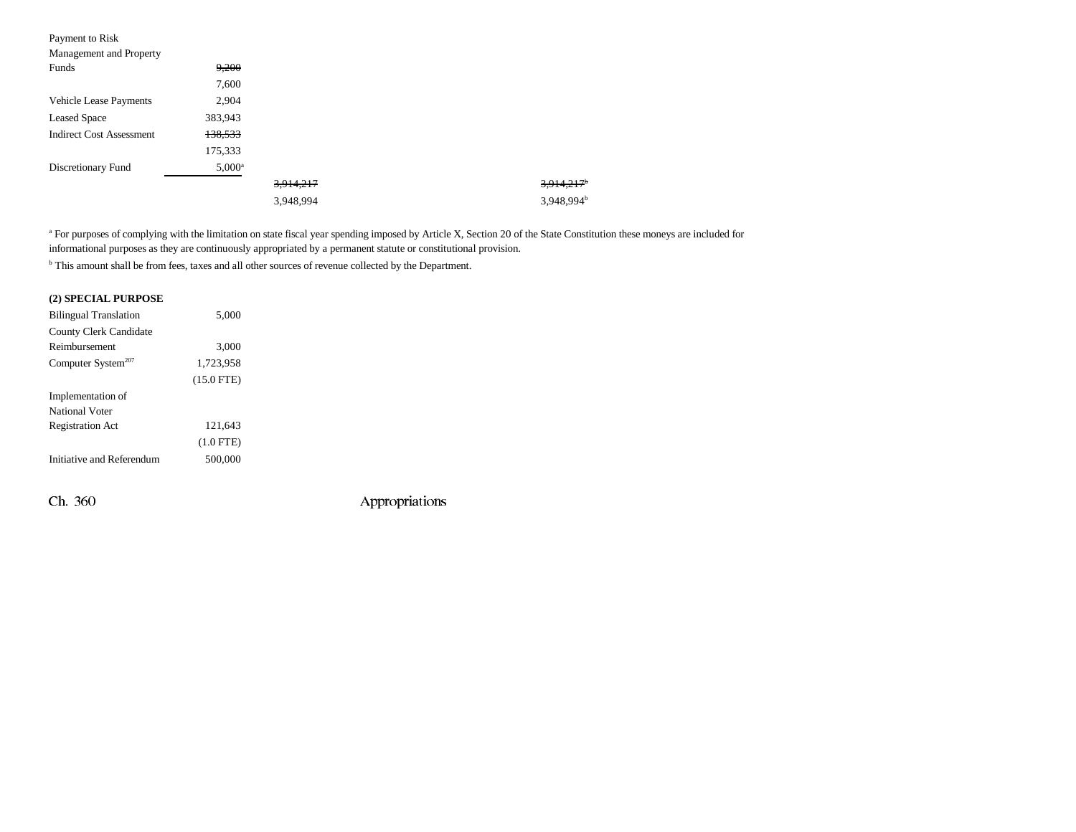| Payment to Risk                 |           |           |                        |
|---------------------------------|-----------|-----------|------------------------|
| Management and Property         |           |           |                        |
| Funds                           | 9,200     |           |                        |
|                                 | 7,600     |           |                        |
| <b>Vehicle Lease Payments</b>   | 2,904     |           |                        |
| <b>Leased Space</b>             | 383,943   |           |                        |
| <b>Indirect Cost Assessment</b> | 138,533   |           |                        |
|                                 | 175,333   |           |                        |
| Discretionary Fund              | $5,000^a$ |           |                        |
|                                 |           | 3,914,217 | 3,914,217              |
|                                 |           | 3,948,994 | 3,948,994 <sup>b</sup> |

<sup>a</sup> For purposes of complying with the limitation on state fiscal year spending imposed by Article X, Section 20 of the State Constitution these moneys are included for informational purposes as they are continuously appropriated by a permanent statute or constitutional provision.

b This amount shall be from fees, taxes and all other sources of revenue collected by the Department.

#### **(2) SPECIAL PURPOSE**

| <b>Bilingual Translation</b> | 5,000        |  |
|------------------------------|--------------|--|
| County Clerk Candidate       |              |  |
| Reimbursement                | 3,000        |  |
| Computer System $207$        | 1,723,958    |  |
|                              | $(15.0$ FTE) |  |
| Implementation of            |              |  |
| National Voter               |              |  |
| <b>Registration Act</b>      | 121.643      |  |
|                              | $(1.0$ FTE)  |  |
| Initiative and Referendum    | 500,000      |  |
|                              |              |  |

Ch. 360 Appropriations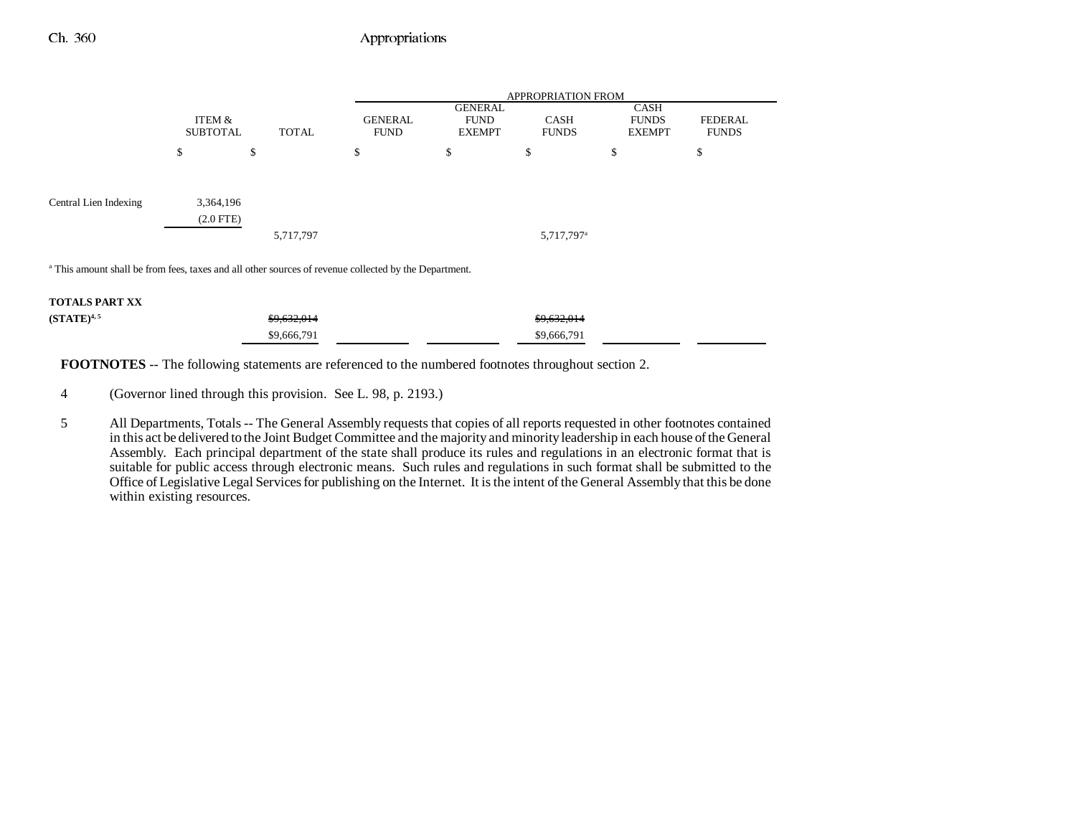### Ch. 360 Appropriations

|                                                                                                                  |                             |              |                               | <b>APPROPRIATION FROM</b>                      |                             |                                       |                                |
|------------------------------------------------------------------------------------------------------------------|-----------------------------|--------------|-------------------------------|------------------------------------------------|-----------------------------|---------------------------------------|--------------------------------|
|                                                                                                                  | ITEM &<br><b>SUBTOTAL</b>   | <b>TOTAL</b> | <b>GENERAL</b><br><b>FUND</b> | <b>GENERAL</b><br><b>FUND</b><br><b>EXEMPT</b> | <b>CASH</b><br><b>FUNDS</b> | CASH<br><b>FUNDS</b><br><b>EXEMPT</b> | <b>FEDERAL</b><br><b>FUNDS</b> |
|                                                                                                                  | \$                          | \$           | \$                            | \$                                             | \$                          | P                                     | \$                             |
| Central Lien Indexing                                                                                            | 3,364,196<br>$(2.0$ FTE $)$ | 5,717,797    |                               |                                                | 5,717,797 <sup>a</sup>      |                                       |                                |
| <sup>a</sup> This amount shall be from fees, taxes and all other sources of revenue collected by the Department. |                             |              |                               |                                                |                             |                                       |                                |

#### **TOTALS PART XX**

| $(STATE)^{4,5}$ | <del>\$9,632,014</del> | \$9,632,014 |
|-----------------|------------------------|-------------|
|                 | \$9,666,791            | \$9,666,791 |

**FOOTNOTES** -- The following statements are referenced to the numbered footnotes throughout section 2.

4 (Governor lined through this provision. See L. 98, p. 2193.)

5 All Departments, Totals -- The General Assembly requests that copies of all reports requested in other footnotes contained in this act be delivered to the Joint Budget Committee and the majority and minority leadership in each house of the General Assembly. Each principal department of the state shall produce its rules and regulations in an electronic format that is suitable for public access through electronic means. Such rules and regulations in such format shall be submitted to the Office of Legislative Legal Services for publishing on the Internet. It is the intent of the General Assembly that this be done within existing resources.